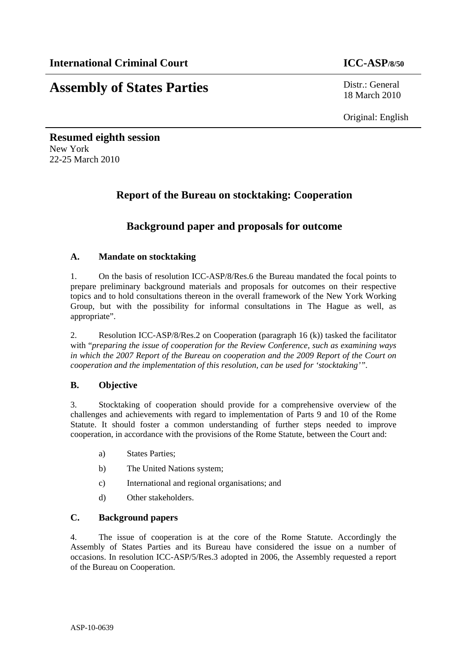# **Assembly of States Parties** Distr.: General

18 March 2010

Original: English

**Resumed eighth session**  New York 22-25 March 2010

# **Report of the Bureau on stocktaking: Cooperation**

# **Background paper and proposals for outcome**

### **A. Mandate on stocktaking**

1. On the basis of resolution ICC-ASP/8/Res.6 the Bureau mandated the focal points to prepare preliminary background materials and proposals for outcomes on their respective topics and to hold consultations thereon in the overall framework of the New York Working Group, but with the possibility for informal consultations in The Hague as well, as appropriate".

2. Resolution ICC-ASP/8/Res.2 on Cooperation (paragraph 16 (k)) tasked the facilitator with "*preparing the issue of cooperation for the Review Conference, such as examining ways in which the 2007 Report of the Bureau on cooperation and the 2009 Report of the Court on cooperation and the implementation of this resolution, can be used for 'stocktaking'".* 

## **B. Objective**

3. Stocktaking of cooperation should provide for a comprehensive overview of the challenges and achievements with regard to implementation of Parts 9 and 10 of the Rome Statute. It should foster a common understanding of further steps needed to improve cooperation, in accordance with the provisions of the Rome Statute, between the Court and:

- a) States Parties;
- b) The United Nations system;
- c) International and regional organisations; and
- d) Other stakeholders.

#### **C. Background papers**

4. The issue of cooperation is at the core of the Rome Statute. Accordingly the Assembly of States Parties and its Bureau have considered the issue on a number of occasions. In resolution ICC-ASP/5/Res.3 adopted in 2006, the Assembly requested a report of the Bureau on Cooperation.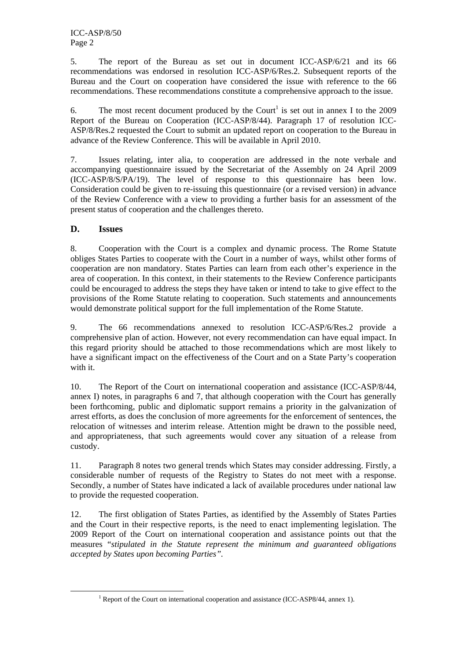5. The report of the Bureau as set out in document ICC-ASP/6/21 and its 66 recommendations was endorsed in resolution ICC-ASP/6/Res.2. Subsequent reports of the Bureau and the Court on cooperation have considered the issue with reference to the 66 recommendations. These recommendations constitute a comprehensive approach to the issue.

6. The most recent document produced by the Court<sup>1</sup> is set out in annex I to the 2009 Report of the Bureau on Cooperation (ICC-ASP/8/44). Paragraph 17 of resolution ICC-ASP/8/Res.2 requested the Court to submit an updated report on cooperation to the Bureau in advance of the Review Conference. This will be available in April 2010.

7. Issues relating, inter alia, to cooperation are addressed in the note verbale and accompanying questionnaire issued by the Secretariat of the Assembly on 24 April 2009 (ICC-ASP/8/S/PA/19). The level of response to this questionnaire has been low. Consideration could be given to re-issuing this questionnaire (or a revised version) in advance of the Review Conference with a view to providing a further basis for an assessment of the present status of cooperation and the challenges thereto.

### **D. Issues**

8. Cooperation with the Court is a complex and dynamic process. The Rome Statute obliges States Parties to cooperate with the Court in a number of ways, whilst other forms of cooperation are non mandatory. States Parties can learn from each other's experience in the area of cooperation. In this context, in their statements to the Review Conference participants could be encouraged to address the steps they have taken or intend to take to give effect to the provisions of the Rome Statute relating to cooperation. Such statements and announcements would demonstrate political support for the full implementation of the Rome Statute.

9. The 66 recommendations annexed to resolution ICC-ASP/6/Res.2 provide a comprehensive plan of action. However, not every recommendation can have equal impact. In this regard priority should be attached to those recommendations which are most likely to have a significant impact on the effectiveness of the Court and on a State Party's cooperation with it.

10. The Report of the Court on international cooperation and assistance (ICC-ASP/8/44, annex I) notes, in paragraphs 6 and 7, that although cooperation with the Court has generally been forthcoming, public and diplomatic support remains a priority in the galvanization of arrest efforts, as does the conclusion of more agreements for the enforcement of sentences, the relocation of witnesses and interim release. Attention might be drawn to the possible need, and appropriateness, that such agreements would cover any situation of a release from custody.

11. Paragraph 8 notes two general trends which States may consider addressing. Firstly, a considerable number of requests of the Registry to States do not meet with a response. Secondly, a number of States have indicated a lack of available procedures under national law to provide the requested cooperation.

12. The first obligation of States Parties, as identified by the Assembly of States Parties and the Court in their respective reports, is the need to enact implementing legislation. The 2009 Report of the Court on international cooperation and assistance points out that the measures "*stipulated in the Statute represent the minimum and guaranteed obligations accepted by States upon becoming Parties".*

 $\frac{1}{1}$ <sup>1</sup> Report of the Court on international cooperation and assistance (ICC-ASP8/44, annex 1).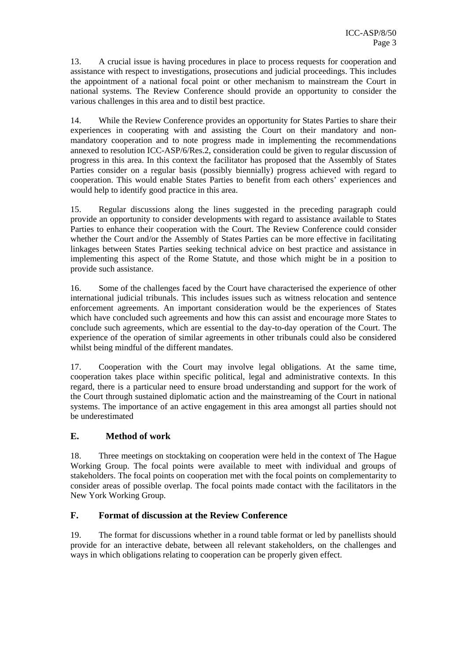13. A crucial issue is having procedures in place to process requests for cooperation and assistance with respect to investigations, prosecutions and judicial proceedings. This includes the appointment of a national focal point or other mechanism to mainstream the Court in national systems. The Review Conference should provide an opportunity to consider the various challenges in this area and to distil best practice.

14. While the Review Conference provides an opportunity for States Parties to share their experiences in cooperating with and assisting the Court on their mandatory and nonmandatory cooperation and to note progress made in implementing the recommendations annexed to resolution ICC-ASP/6/Res.2, consideration could be given to regular discussion of progress in this area. In this context the facilitator has proposed that the Assembly of States Parties consider on a regular basis (possibly biennially) progress achieved with regard to cooperation. This would enable States Parties to benefit from each others' experiences and would help to identify good practice in this area.

15. Regular discussions along the lines suggested in the preceding paragraph could provide an opportunity to consider developments with regard to assistance available to States Parties to enhance their cooperation with the Court. The Review Conference could consider whether the Court and/or the Assembly of States Parties can be more effective in facilitating linkages between States Parties seeking technical advice on best practice and assistance in implementing this aspect of the Rome Statute, and those which might be in a position to provide such assistance.

16. Some of the challenges faced by the Court have characterised the experience of other international judicial tribunals. This includes issues such as witness relocation and sentence enforcement agreements. An important consideration would be the experiences of States which have concluded such agreements and how this can assist and encourage more States to conclude such agreements, which are essential to the day-to-day operation of the Court. The experience of the operation of similar agreements in other tribunals could also be considered whilst being mindful of the different mandates.

17. Cooperation with the Court may involve legal obligations. At the same time, cooperation takes place within specific political, legal and administrative contexts. In this regard, there is a particular need to ensure broad understanding and support for the work of the Court through sustained diplomatic action and the mainstreaming of the Court in national systems. The importance of an active engagement in this area amongst all parties should not be underestimated

## **E. Method of work**

18. Three meetings on stocktaking on cooperation were held in the context of The Hague Working Group. The focal points were available to meet with individual and groups of stakeholders. The focal points on cooperation met with the focal points on complementarity to consider areas of possible overlap. The focal points made contact with the facilitators in the New York Working Group.

#### **F. Format of discussion at the Review Conference**

19. The format for discussions whether in a round table format or led by panellists should provide for an interactive debate, between all relevant stakeholders, on the challenges and ways in which obligations relating to cooperation can be properly given effect.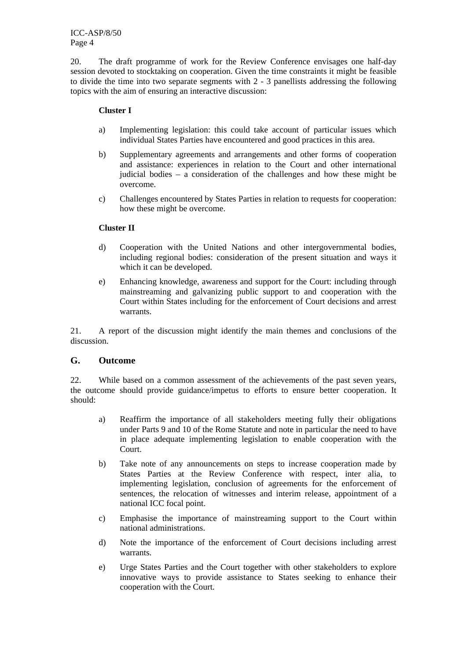20. The draft programme of work for the Review Conference envisages one half-day session devoted to stocktaking on cooperation. Given the time constraints it might be feasible to divide the time into two separate segments with 2 - 3 panellists addressing the following topics with the aim of ensuring an interactive discussion:

#### **Cluster I**

- a) Implementing legislation: this could take account of particular issues which individual States Parties have encountered and good practices in this area.
- b) Supplementary agreements and arrangements and other forms of cooperation and assistance: experiences in relation to the Court and other international judicial bodies – a consideration of the challenges and how these might be overcome.
- c) Challenges encountered by States Parties in relation to requests for cooperation: how these might be overcome.

#### **Cluster II**

- d) Cooperation with the United Nations and other intergovernmental bodies, including regional bodies: consideration of the present situation and ways it which it can be developed.
- e) Enhancing knowledge, awareness and support for the Court: including through mainstreaming and galvanizing public support to and cooperation with the Court within States including for the enforcement of Court decisions and arrest warrants.

21. A report of the discussion might identify the main themes and conclusions of the discussion.

#### **G. Outcome**

22. While based on a common assessment of the achievements of the past seven years, the outcome should provide guidance/impetus to efforts to ensure better cooperation. It should:

- a) Reaffirm the importance of all stakeholders meeting fully their obligations under Parts 9 and 10 of the Rome Statute and note in particular the need to have in place adequate implementing legislation to enable cooperation with the Court.
- b) Take note of any announcements on steps to increase cooperation made by States Parties at the Review Conference with respect, inter alia, to implementing legislation, conclusion of agreements for the enforcement of sentences, the relocation of witnesses and interim release, appointment of a national ICC focal point.
- c) Emphasise the importance of mainstreaming support to the Court within national administrations.
- d) Note the importance of the enforcement of Court decisions including arrest warrants.
- e) Urge States Parties and the Court together with other stakeholders to explore innovative ways to provide assistance to States seeking to enhance their cooperation with the Court.